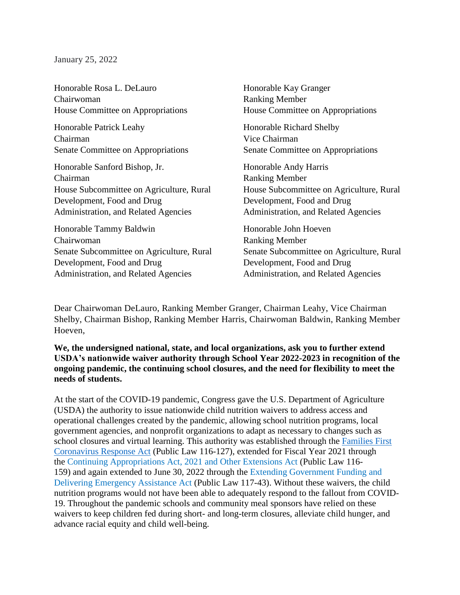January 25, 2022

Honorable Rosa L. DeLauro Chairwoman House Committee on Appropriations Honorable Kay Granger Ranking Member House Committee on Appropriations Honorable Patrick Leahy Chairman Senate Committee on Appropriations Honorable Richard Shelby Vice Chairman Senate Committee on Appropriations Honorable Sanford Bishop, Jr. Chairman House Subcommittee on Agriculture, Rural Development, Food and Drug Administration, and Related Agencies Honorable Andy Harris Ranking Member House Subcommittee on Agriculture, Rural Development, Food and Drug Administration, and Related Agencies Honorable Tammy Baldwin Chairwoman Senate Subcommittee on Agriculture, Rural Development, Food and Drug Administration, and Related Agencies Honorable John Hoeven Ranking Member Senate Subcommittee on Agriculture, Rural Development, Food and Drug Administration, and Related Agencies

Dear Chairwoman DeLauro, Ranking Member Granger, Chairman Leahy, Vice Chairman Shelby, Chairman Bishop, Ranking Member Harris, Chairwoman Baldwin, Ranking Member Hoeven,

**We, the undersigned national, state, and local organizations, ask you to further extend USDA's nationwide waiver authority through School Year 2022-2023 in recognition of the ongoing pandemic, the continuing school closures, and the need for flexibility to meet the needs of students.** 

At the start of the COVID-19 pandemic, Congress gave the U.S. Department of Agriculture (USDA) the authority to issue nationwide child nutrition waivers to address access and operational challenges created by the pandemic, allowing school nutrition programs, local government agencies, and nonprofit organizations to adapt as necessary to changes such as school closures and virtual learning. This authority was established through the [Families First](https://www.congress.gov/bill/116th-congress/house-bill/6201/text)  [Coronavirus Response](https://www.congress.gov/bill/116th-congress/house-bill/6201/text) Act (Public Law 116-127), extended for Fiscal Year 2021 through the [Continuing Appropriations Act, 2021 and Other Extensions Act](https://www.congress.gov/bill/116th-congress/house-bill/8337/text) (Public Law 116- 159) and again extended to June 30, 2022 through the [Extending Government Funding and](https://www.congress.gov/bill/117th-congress/house-bill/5305)  [Delivering Emergency Assistance Act](https://www.congress.gov/bill/117th-congress/house-bill/5305) (Public Law 117-43). Without these waivers, the child nutrition programs would not have been able to adequately respond to the fallout from COVID-19. Throughout the pandemic schools and community meal sponsors have relied on these waivers to keep children fed during short- and long-term closures, alleviate child hunger, and advance racial equity and child well-being.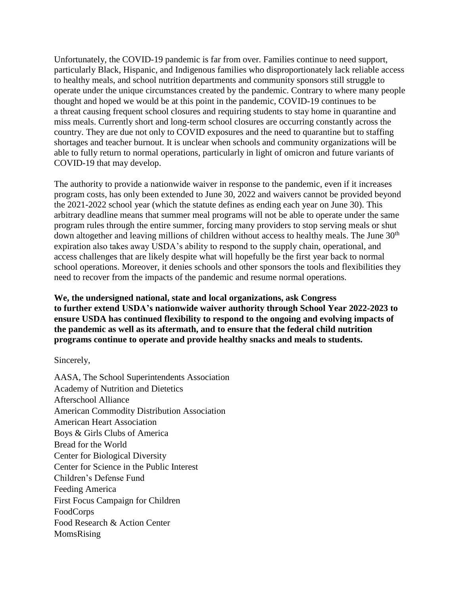Unfortunately, the COVID-19 pandemic is far from over. Families continue to need support, particularly Black, Hispanic, and Indigenous families who disproportionately lack reliable access to healthy meals, and school nutrition departments and community sponsors still struggle to operate under the unique circumstances created by the pandemic. Contrary to where many people thought and hoped we would be at this point in the pandemic, COVID-19 continues to be a threat causing frequent school closures and requiring students to stay home in quarantine and miss meals. Currently short and long-term school closures are occurring constantly across the country. They are due not only to COVID exposures and the need to quarantine but to staffing shortages and teacher burnout. It is unclear when schools and community organizations will be able to fully return to normal operations, particularly in light of omicron and future variants of COVID-19 that may develop.

The authority to provide a nationwide waiver in response to the pandemic, even if it increases program costs, has only been extended to June 30, 2022 and waivers cannot be provided beyond the 2021-2022 school year (which the statute defines as ending each year on June 30). This arbitrary deadline means that summer meal programs will not be able to operate under the same program rules through the entire summer, forcing many providers to stop serving meals or shut down altogether and leaving millions of children without access to healthy meals. The June 30<sup>th</sup> expiration also takes away USDA's ability to respond to the supply chain, operational, and access challenges that are likely despite what will hopefully be the first year back to normal school operations. Moreover, it denies schools and other sponsors the tools and flexibilities they need to recover from the impacts of the pandemic and resume normal operations.

**We, the undersigned national, state and local organizations, ask Congress to further extend USDA's nationwide waiver authority through School Year 2022-2023 to ensure USDA has continued flexibility to respond to the ongoing and evolving impacts of the pandemic as well as its aftermath, and to ensure that the federal child nutrition programs continue to operate and provide healthy snacks and meals to students.** 

Sincerely,

AASA, The School Superintendents Association Academy of Nutrition and Dietetics Afterschool Alliance American Commodity Distribution Association American Heart Association Boys & Girls Clubs of America Bread for the World Center for Biological Diversity Center for Science in the Public Interest Children's Defense Fund Feeding America First Focus Campaign for Children FoodCorps Food Research & Action Center MomsRising